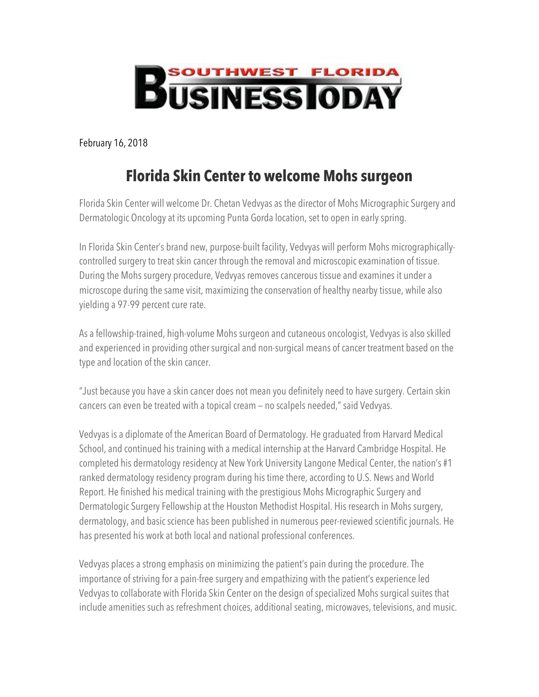

February 16, 2018

## **Florida Skin Center to welcome Mohs surgeon**

Florida Skin Center will welcome Dr. Chetan Vedvyas as the director of Mohs Micrographic Surgery and Dermatologic Oncology at its upcoming Punta Gorda location, set to open in early spring.

In Florida Skin Center's brand new, purpose-built facility, Vedvyas will perform Mohs micrographicallycontrolled surgery to treat skin cancer through the removal and microscopic examination of tissue. During the Mohs surgery procedure, Vedvyas removes cancerous tissue and examines it under a microscope during the same visit, maximizing the conservation of healthy nearby tissue, while also yielding a 97-99 percent cure rate.

As a fellowship-trained, high-volume Mohs surgeon and cutaneous oncologist, Vedvyas is also skilled and experienced in providing other surgical and non-surgical means of cancer treatment based on the type and location of the skin cancer.

"Just because you have a skin cancer does not mean you definitely need to have surgery. Certain skin cancers can even be treated with a topical cream — no scalpels needed," said Vedvyas.

Vedvyas is a diplomate of the American Board of Dermatology. He graduated from Harvard Medical School, and continued his training with a medical internship at the Harvard Cambridge Hospital. He completed his dermatology residency at New York University Langone Medical Center, the nation's #1 ranked dermatology residency program during his time there, according to U.S. News and World Report. He finished his medical training with the prestigious Mohs Micrographic Surgery and Dermatologic Surgery Fellowship at the Houston Methodist Hospital. His research in Mohs surgery, dermatology, and basic science has been published in numerous peer-reviewed scientific journals. He has presented his work at both local and national professional conferences.

Vedvyas places a strong emphasis on minimizing the patient's pain during the procedure. The importance of striving for a pain-free surgery and empathizing with the patient's experience led Vedvyas to collaborate with Florida Skin Center on the design of specialized Mohs surgical suites that include amenities such as refreshment choices, additional seating, microwaves, televisions, and music.